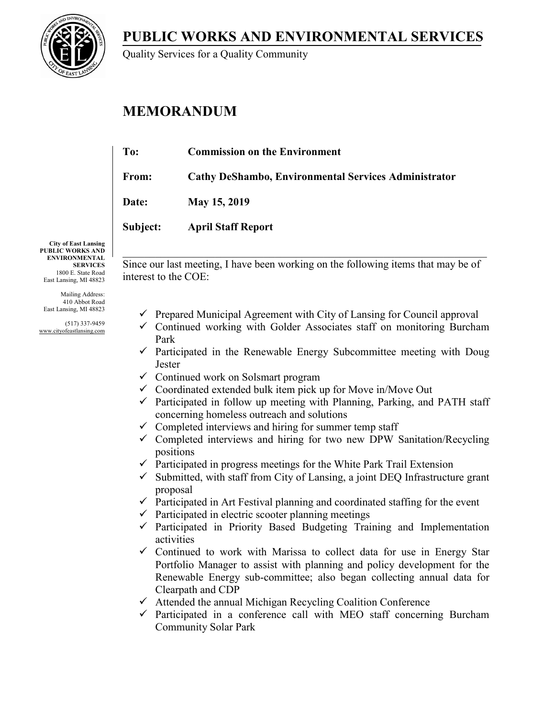**PUBLIC WORKS AND ENVIRONMENTAL SERVICES**



Quality Services for a Quality Community

# **MEMORANDUM**

| To:          | <b>Commission on the Environment</b>                        |
|--------------|-------------------------------------------------------------|
| From:        | <b>Cathy DeShambo, Environmental Services Administrator</b> |
| <b>Date:</b> | May 15, 2019                                                |
| Subject:     | <b>April Staff Report</b>                                   |
|              |                                                             |

**City of East Lansing PUBLIC WORKS AND ENVIRONMENTAL SERVICES** 1800 E. State Road East Lansing, MI 48823

Mailing Address: 410 Abbot Road East Lansing, MI 48823

(517) 337-9459 www.cityofeastlansing.com

Since our last meeting, I have been working on the following items that may be of interest to the COE:

- $\checkmark$  Prepared Municipal Agreement with City of Lansing for Council approval
- $\checkmark$  Continued working with Golder Associates staff on monitoring Burcham Park
- $\checkmark$  Participated in the Renewable Energy Subcommittee meeting with Doug **Jester**
- $\checkmark$  Continued work on Solsmart program
- $\checkmark$  Coordinated extended bulk item pick up for Move in/Move Out
- $\checkmark$  Participated in follow up meeting with Planning, Parking, and PATH staff concerning homeless outreach and solutions
- $\checkmark$  Completed interviews and hiring for summer temp staff
- $\checkmark$  Completed interviews and hiring for two new DPW Sanitation/Recycling positions
- $\checkmark$  Participated in progress meetings for the White Park Trail Extension
- $\checkmark$  Submitted, with staff from City of Lansing, a joint DEQ Infrastructure grant proposal
- $\checkmark$  Participated in Art Festival planning and coordinated staffing for the event
- $\checkmark$  Participated in electric scooter planning meetings
- $\checkmark$  Participated in Priority Based Budgeting Training and Implementation activities
- $\checkmark$  Continued to work with Marissa to collect data for use in Energy Star Portfolio Manager to assist with planning and policy development for the Renewable Energy sub-committee; also began collecting annual data for Clearpath and CDP
- $\checkmark$  Attended the annual Michigan Recycling Coalition Conference
- $\checkmark$  Participated in a conference call with MEO staff concerning Burcham Community Solar Park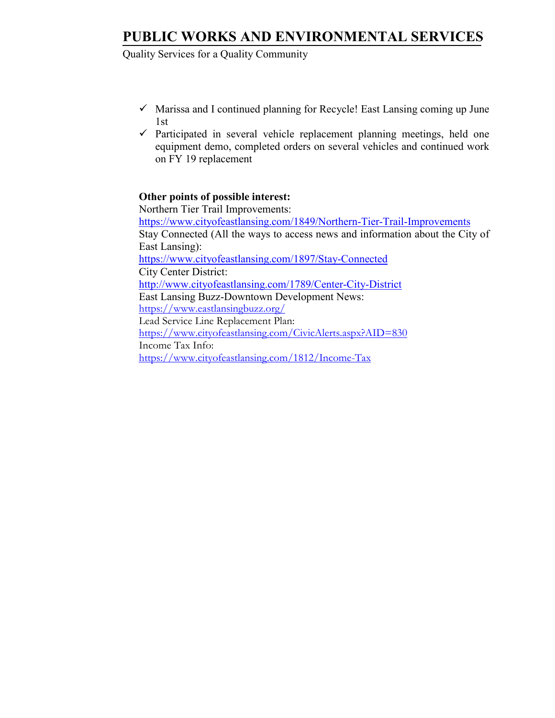# **PUBLIC WORKS AND ENVIRONMENTAL SERVICES**

Quality Services for a Quality Community

- $\checkmark$  Marissa and I continued planning for Recycle! East Lansing coming up June 1st
- $\checkmark$  Participated in several vehicle replacement planning meetings, held one equipment demo, completed orders on several vehicles and continued work on FY 19 replacement

## **Other points of possible interest:**

 Northern Tier Trail Improvements: <https://www.cityofeastlansing.com/1849/Northern-Tier-Trail-Improvements> Stay Connected (All the ways to access news and information about the City of East Lansing): <https://www.cityofeastlansing.com/1897/Stay-Connected> City Center District: <http://www.cityofeastlansing.com/1789/Center-City-District> East Lansing Buzz-Downtown Development News: <https://www.eastlansingbuzz.org/> Lead Service Line Replacement Plan: <https://www.cityofeastlansing.com/CivicAlerts.aspx?AID=830> Income Tax Info: <https://www.cityofeastlansing.com/1812/Income-Tax>